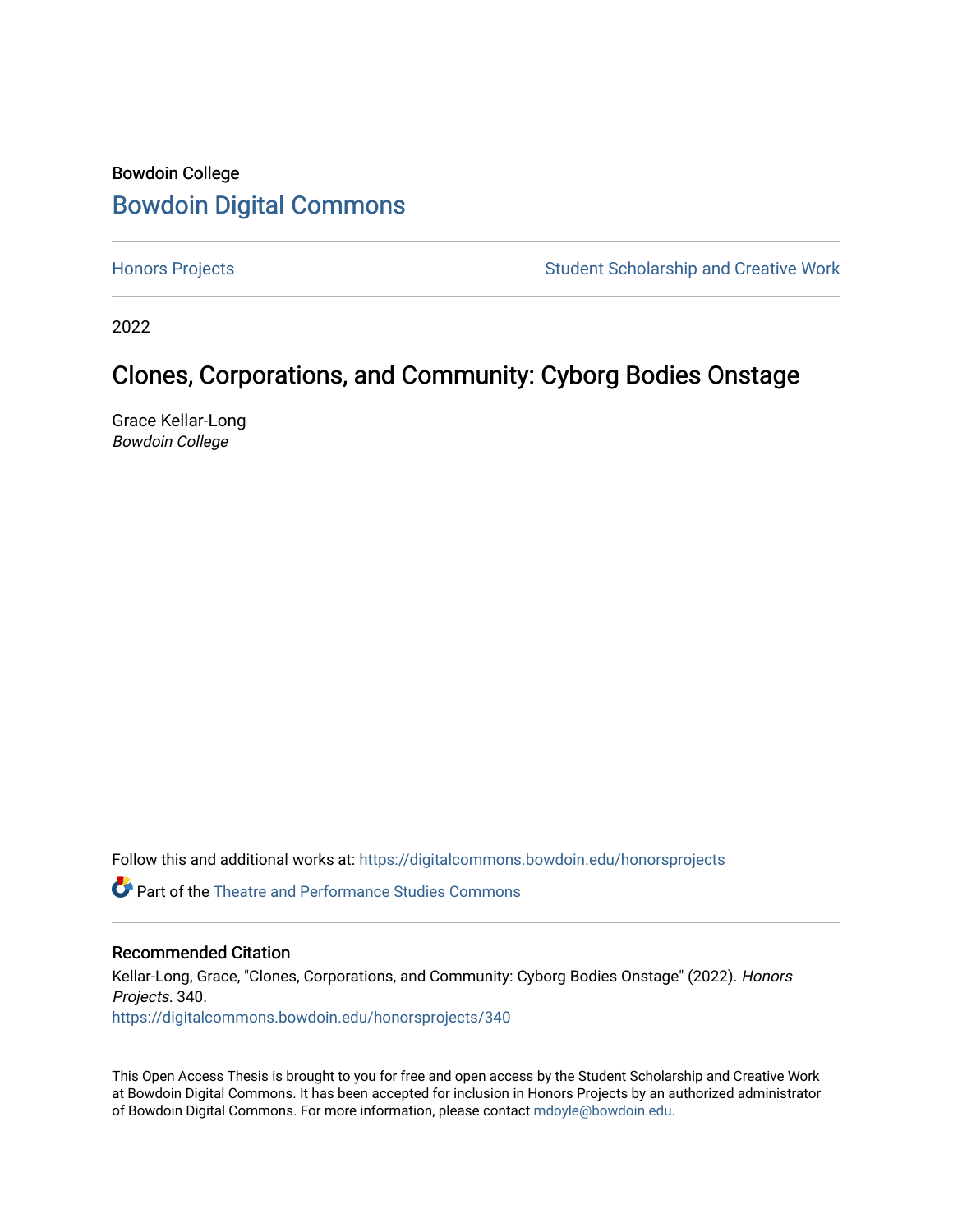#### Bowdoin College [Bowdoin Digital Commons](https://digitalcommons.bowdoin.edu/)

[Honors Projects](https://digitalcommons.bowdoin.edu/honorsprojects) **Student Scholarship and Creative Work** Student Scholarship and Creative Work

2022

#### Clones, Corporations, and Community: Cyborg Bodies Onstage

Grace Kellar-Long Bowdoin College

Follow this and additional works at: [https://digitalcommons.bowdoin.edu/honorsprojects](https://digitalcommons.bowdoin.edu/honorsprojects?utm_source=digitalcommons.bowdoin.edu%2Fhonorsprojects%2F340&utm_medium=PDF&utm_campaign=PDFCoverPages)

 $\bullet$  Part of the Theatre and Performance Studies Commons

#### Recommended Citation

Kellar-Long, Grace, "Clones, Corporations, and Community: Cyborg Bodies Onstage" (2022). Honors Projects. 340. [https://digitalcommons.bowdoin.edu/honorsprojects/340](https://digitalcommons.bowdoin.edu/honorsprojects/340?utm_source=digitalcommons.bowdoin.edu%2Fhonorsprojects%2F340&utm_medium=PDF&utm_campaign=PDFCoverPages)

This Open Access Thesis is brought to you for free and open access by the Student Scholarship and Creative Work at Bowdoin Digital Commons. It has been accepted for inclusion in Honors Projects by an authorized administrator of Bowdoin Digital Commons. For more information, please contact [mdoyle@bowdoin.edu.](mailto:mdoyle@bowdoin.edu)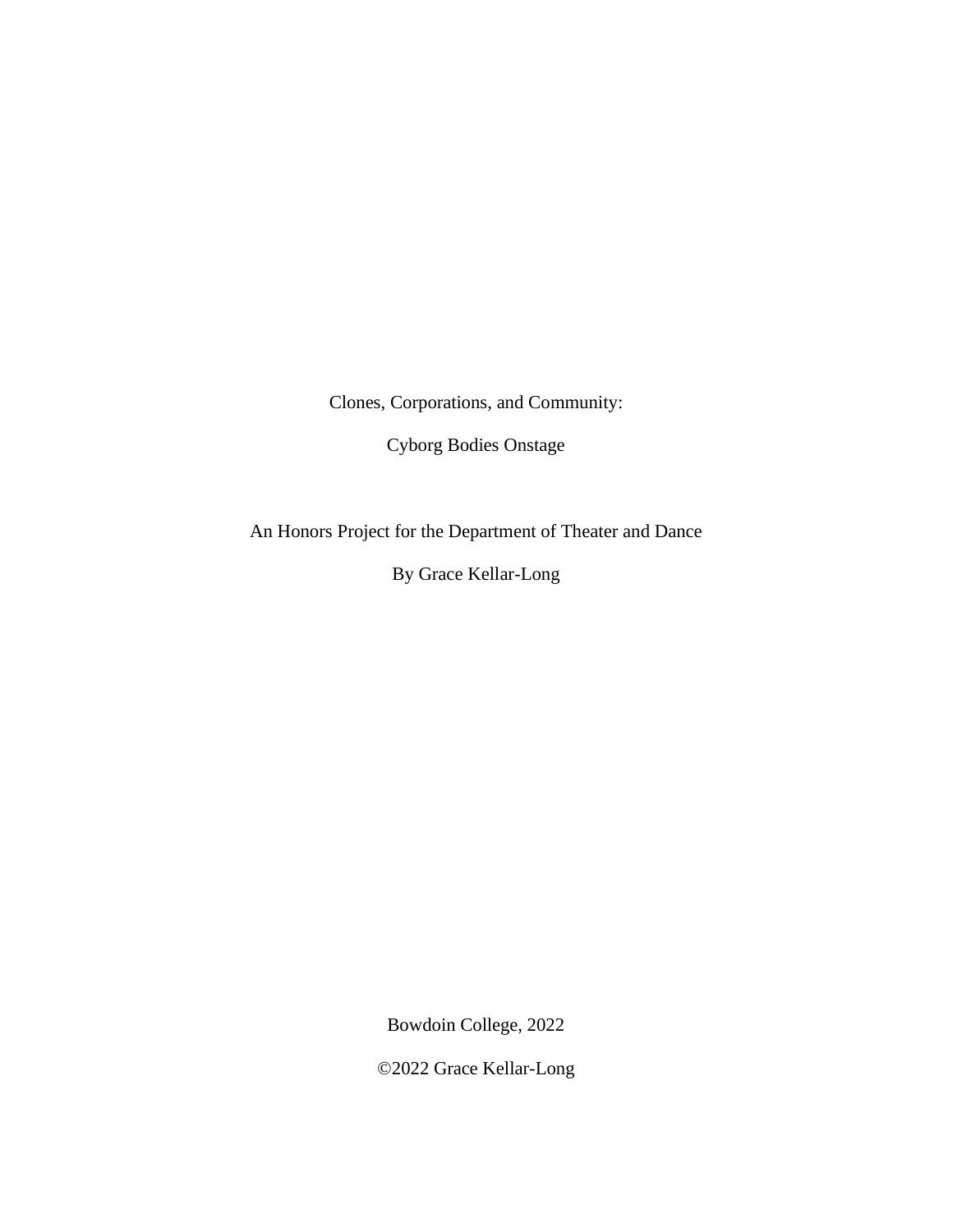Clones, Corporations, and Community:

Cyborg Bodies Onstage

An Honors Project for the Department of Theater and Dance

By Grace Kellar-Long

Bowdoin College, 2022

©2022 Grace Kellar-Long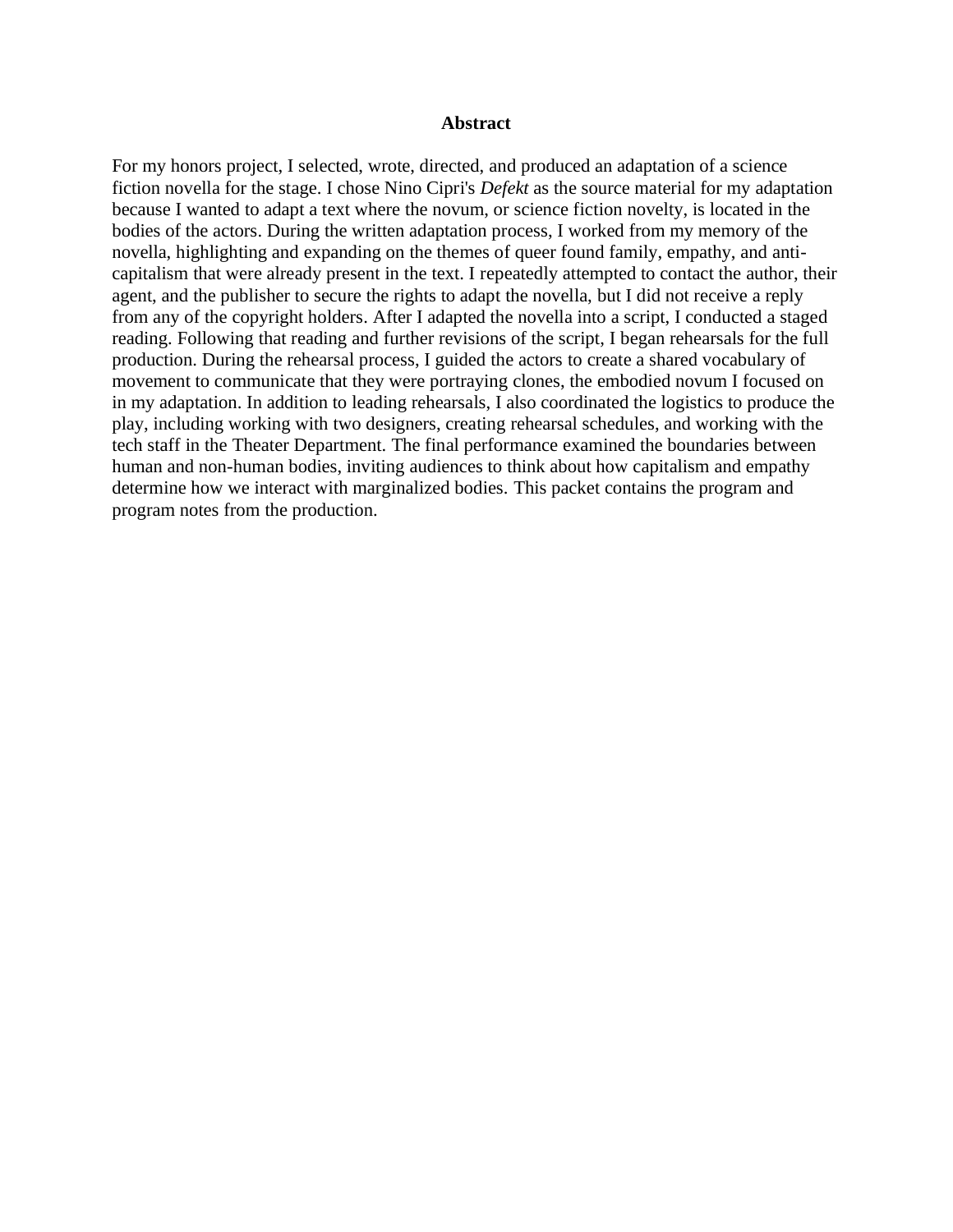#### **Abstract**

For my honors project, I selected, wrote, directed, and produced an adaptation of a science fiction novella for the stage. I chose Nino Cipri's *Defekt* as the source material for my adaptation because I wanted to adapt a text where the novum, or science fiction novelty, is located in the bodies of the actors. During the written adaptation process, I worked from my memory of the novella, highlighting and expanding on the themes of queer found family, empathy, and anticapitalism that were already present in the text. I repeatedly attempted to contact the author, their agent, and the publisher to secure the rights to adapt the novella, but I did not receive a reply from any of the copyright holders. After I adapted the novella into a script, I conducted a staged reading. Following that reading and further revisions of the script, I began rehearsals for the full production. During the rehearsal process, I guided the actors to create a shared vocabulary of movement to communicate that they were portraying clones, the embodied novum I focused on in my adaptation. In addition to leading rehearsals, I also coordinated the logistics to produce the play, including working with two designers, creating rehearsal schedules, and working with the tech staff in the Theater Department. The final performance examined the boundaries between human and non-human bodies, inviting audiences to think about how capitalism and empathy determine how we interact with marginalized bodies. This packet contains the program and program notes from the production.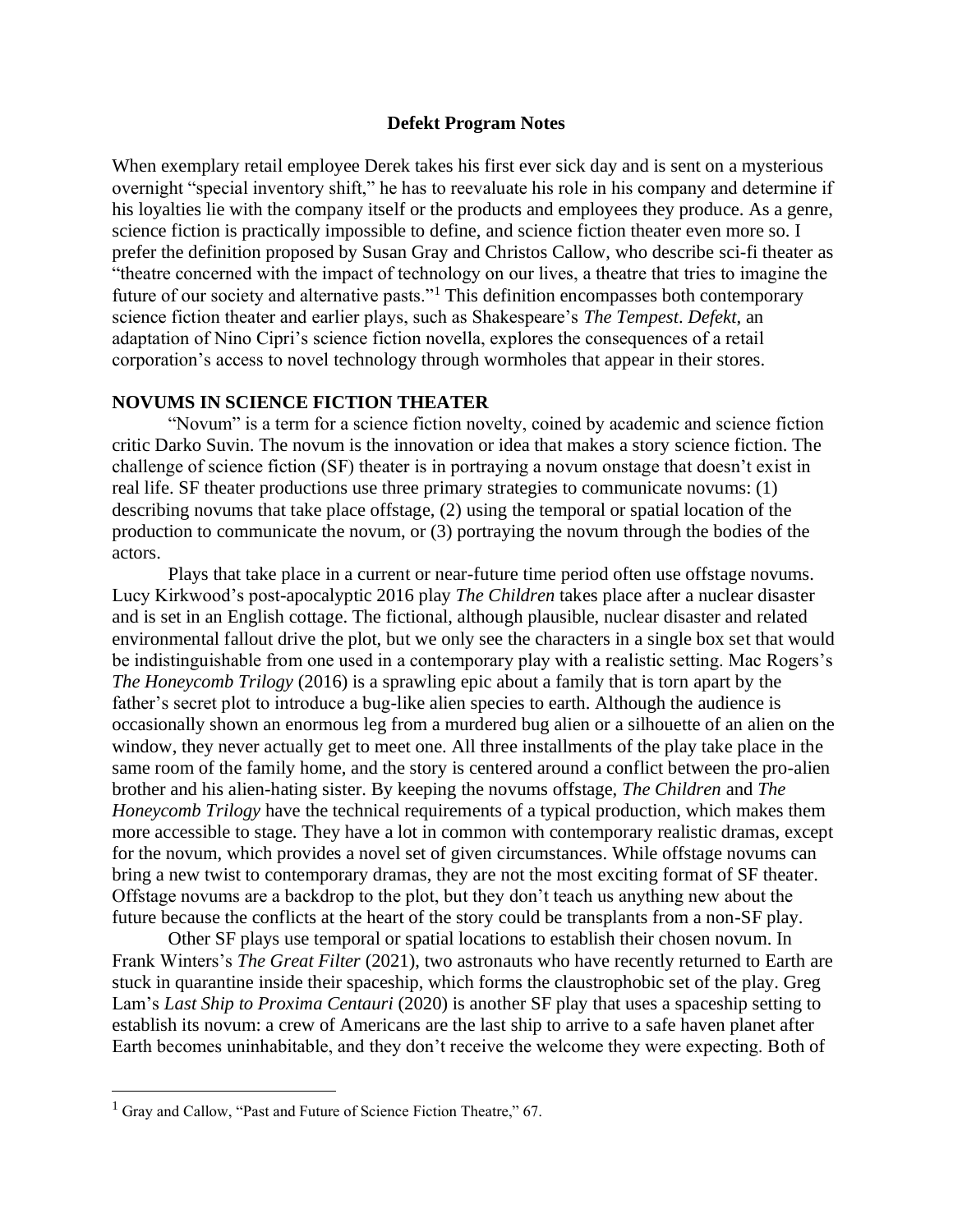#### **Defekt Program Notes**

When exemplary retail employee Derek takes his first ever sick day and is sent on a mysterious overnight "special inventory shift," he has to reevaluate his role in his company and determine if his loyalties lie with the company itself or the products and employees they produce. As a genre, science fiction is practically impossible to define, and science fiction theater even more so. I prefer the definition proposed by Susan Gray and Christos Callow, who describe sci-fi theater as "theatre concerned with the impact of technology on our lives, a theatre that tries to imagine the future of our society and alternative pasts."<sup>1</sup> This definition encompasses both contemporary science fiction theater and earlier plays, such as Shakespeare's *The Tempest*. *Defekt*, an adaptation of Nino Cipri's science fiction novella, explores the consequences of a retail corporation's access to novel technology through wormholes that appear in their stores.

#### **NOVUMS IN SCIENCE FICTION THEATER**

"Novum" is a term for a science fiction novelty, coined by academic and science fiction critic Darko Suvin. The novum is the innovation or idea that makes a story science fiction. The challenge of science fiction (SF) theater is in portraying a novum onstage that doesn't exist in real life. SF theater productions use three primary strategies to communicate novums: (1) describing novums that take place offstage, (2) using the temporal or spatial location of the production to communicate the novum, or (3) portraying the novum through the bodies of the actors.

Plays that take place in a current or near-future time period often use offstage novums. Lucy Kirkwood's post-apocalyptic 2016 play *The Children* takes place after a nuclear disaster and is set in an English cottage. The fictional, although plausible, nuclear disaster and related environmental fallout drive the plot, but we only see the characters in a single box set that would be indistinguishable from one used in a contemporary play with a realistic setting. Mac Rogers's *The Honeycomb Trilogy* (2016) is a sprawling epic about a family that is torn apart by the father's secret plot to introduce a bug-like alien species to earth. Although the audience is occasionally shown an enormous leg from a murdered bug alien or a silhouette of an alien on the window, they never actually get to meet one. All three installments of the play take place in the same room of the family home, and the story is centered around a conflict between the pro-alien brother and his alien-hating sister. By keeping the novums offstage, *The Children* and *The Honeycomb Trilogy* have the technical requirements of a typical production, which makes them more accessible to stage. They have a lot in common with contemporary realistic dramas, except for the novum, which provides a novel set of given circumstances. While offstage novums can bring a new twist to contemporary dramas, they are not the most exciting format of SF theater. Offstage novums are a backdrop to the plot, but they don't teach us anything new about the future because the conflicts at the heart of the story could be transplants from a non-SF play.

Other SF plays use temporal or spatial locations to establish their chosen novum. In Frank Winters's *The Great Filter* (2021), two astronauts who have recently returned to Earth are stuck in quarantine inside their spaceship, which forms the claustrophobic set of the play. Greg Lam's *Last Ship to Proxima Centauri* (2020) is another SF play that uses a spaceship setting to establish its novum: a crew of Americans are the last ship to arrive to a safe haven planet after Earth becomes uninhabitable, and they don't receive the welcome they were expecting. Both of

 $1$  Gray and Callow, "Past and Future of Science Fiction Theatre," 67.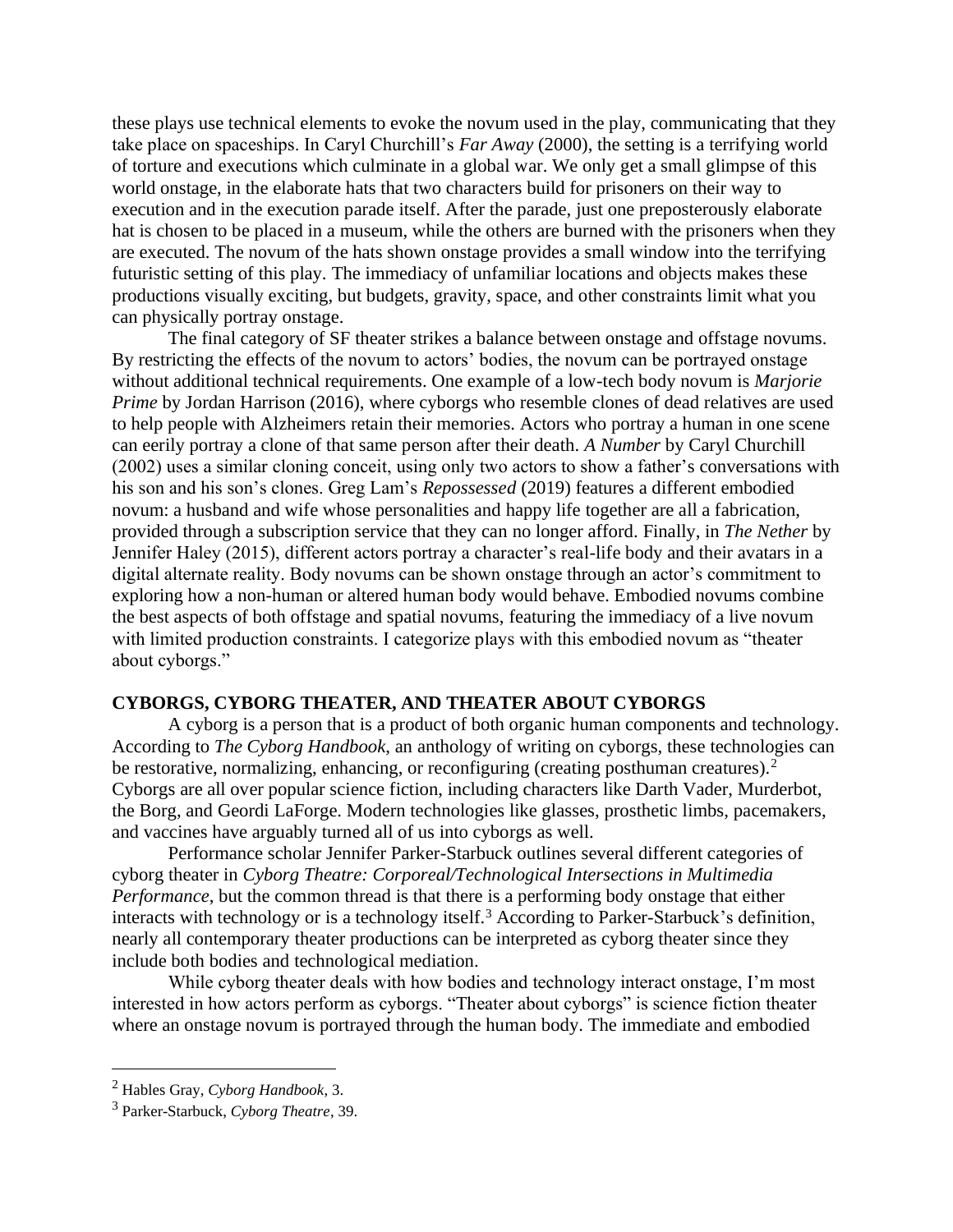these plays use technical elements to evoke the novum used in the play, communicating that they take place on spaceships. In Caryl Churchill's *Far Away* (2000), the setting is a terrifying world of torture and executions which culminate in a global war. We only get a small glimpse of this world onstage, in the elaborate hats that two characters build for prisoners on their way to execution and in the execution parade itself. After the parade, just one preposterously elaborate hat is chosen to be placed in a museum, while the others are burned with the prisoners when they are executed. The novum of the hats shown onstage provides a small window into the terrifying futuristic setting of this play. The immediacy of unfamiliar locations and objects makes these productions visually exciting, but budgets, gravity, space, and other constraints limit what you can physically portray onstage.

The final category of SF theater strikes a balance between onstage and offstage novums. By restricting the effects of the novum to actors' bodies, the novum can be portrayed onstage without additional technical requirements. One example of a low-tech body novum is *Marjorie Prime* by Jordan Harrison (2016), where cyborgs who resemble clones of dead relatives are used to help people with Alzheimers retain their memories. Actors who portray a human in one scene can eerily portray a clone of that same person after their death. *A Number* by Caryl Churchill (2002) uses a similar cloning conceit, using only two actors to show a father's conversations with his son and his son's clones. Greg Lam's *Repossessed* (2019) features a different embodied novum: a husband and wife whose personalities and happy life together are all a fabrication, provided through a subscription service that they can no longer afford. Finally, in *The Nether* by Jennifer Haley (2015), different actors portray a character's real-life body and their avatars in a digital alternate reality. Body novums can be shown onstage through an actor's commitment to exploring how a non-human or altered human body would behave. Embodied novums combine the best aspects of both offstage and spatial novums, featuring the immediacy of a live novum with limited production constraints. I categorize plays with this embodied novum as "theater about cyborgs."

#### **CYBORGS, CYBORG THEATER, AND THEATER ABOUT CYBORGS**

A cyborg is a person that is a product of both organic human components and technology. According to *The Cyborg Handbook*, an anthology of writing on cyborgs, these technologies can be restorative, normalizing, enhancing, or reconfiguring (creating posthuman creatures).<sup>2</sup> Cyborgs are all over popular science fiction, including characters like Darth Vader, Murderbot, the Borg, and Geordi LaForge. Modern technologies like glasses, prosthetic limbs, pacemakers, and vaccines have arguably turned all of us into cyborgs as well.

Performance scholar Jennifer Parker-Starbuck outlines several different categories of cyborg theater in *Cyborg Theatre: Corporeal/Technological Intersections in Multimedia Performance*, but the common thread is that there is a performing body onstage that either interacts with technology or is a technology itself.<sup>3</sup> According to Parker-Starbuck's definition, nearly all contemporary theater productions can be interpreted as cyborg theater since they include both bodies and technological mediation.

While cyborg theater deals with how bodies and technology interact onstage, I'm most interested in how actors perform as cyborgs. "Theater about cyborgs" is science fiction theater where an onstage novum is portrayed through the human body. The immediate and embodied

<sup>2</sup> Hables Gray, *Cyborg Handbook*, 3.

<sup>3</sup> Parker-Starbuck, *Cyborg Theatre*, 39.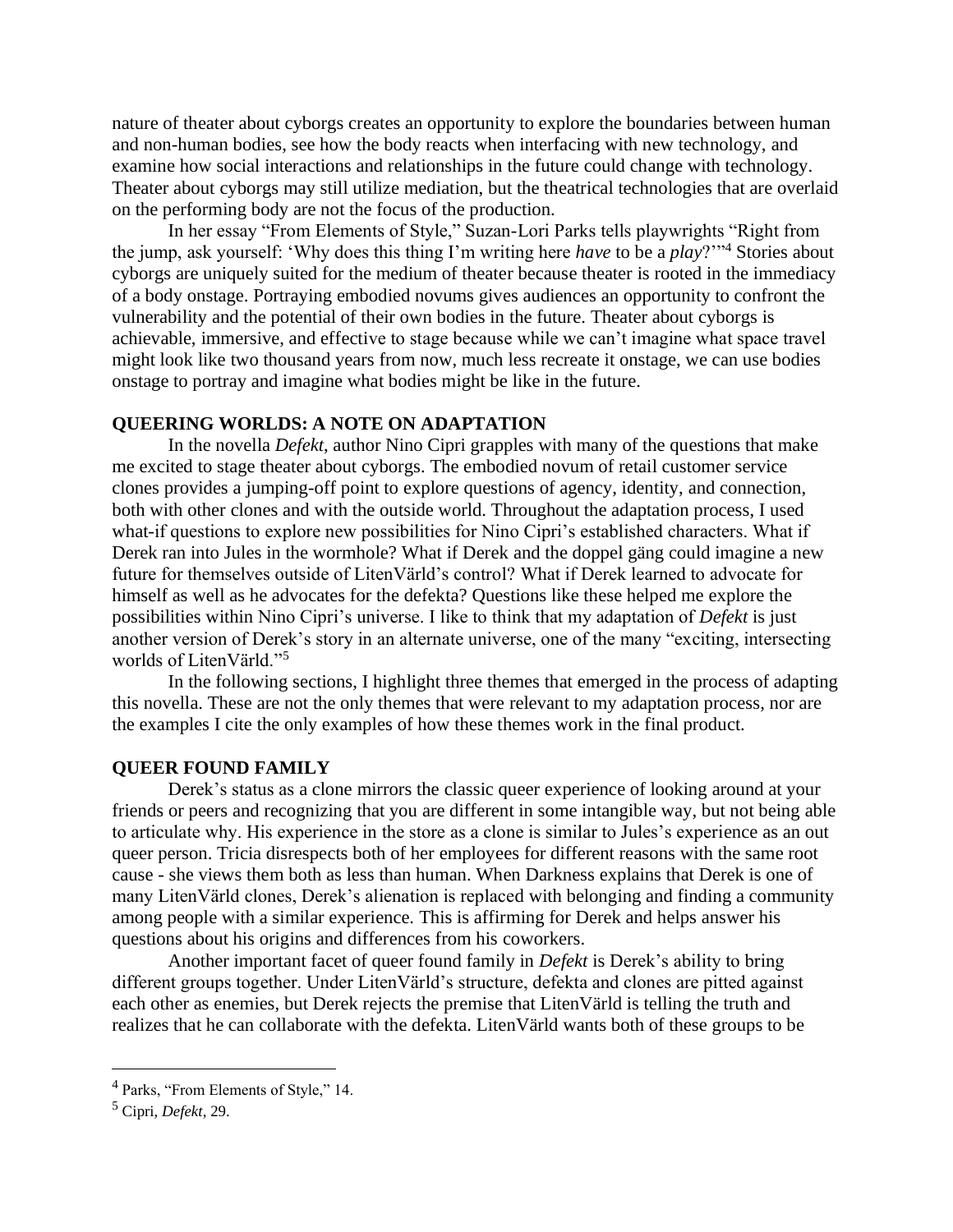nature of theater about cyborgs creates an opportunity to explore the boundaries between human and non-human bodies, see how the body reacts when interfacing with new technology, and examine how social interactions and relationships in the future could change with technology. Theater about cyborgs may still utilize mediation, but the theatrical technologies that are overlaid on the performing body are not the focus of the production.

In her essay "From Elements of Style," Suzan-Lori Parks tells playwrights "Right from the jump, ask yourself: 'Why does this thing I'm writing here *have* to be a *play*?'"<sup>4</sup> Stories about cyborgs are uniquely suited for the medium of theater because theater is rooted in the immediacy of a body onstage. Portraying embodied novums gives audiences an opportunity to confront the vulnerability and the potential of their own bodies in the future. Theater about cyborgs is achievable, immersive, and effective to stage because while we can't imagine what space travel might look like two thousand years from now, much less recreate it onstage, we can use bodies onstage to portray and imagine what bodies might be like in the future.

#### **QUEERING WORLDS: A NOTE ON ADAPTATION**

In the novella *Defekt*, author Nino Cipri grapples with many of the questions that make me excited to stage theater about cyborgs. The embodied novum of retail customer service clones provides a jumping-off point to explore questions of agency, identity, and connection, both with other clones and with the outside world. Throughout the adaptation process, I used what-if questions to explore new possibilities for Nino Cipri's established characters. What if Derek ran into Jules in the wormhole? What if Derek and the doppel gäng could imagine a new future for themselves outside of LitenVärld's control? What if Derek learned to advocate for himself as well as he advocates for the defekta? Questions like these helped me explore the possibilities within Nino Cipri's universe. I like to think that my adaptation of *Defekt* is just another version of Derek's story in an alternate universe, one of the many "exciting, intersecting worlds of LitenVärld."<sup>5</sup>

In the following sections, I highlight three themes that emerged in the process of adapting this novella. These are not the only themes that were relevant to my adaptation process, nor are the examples I cite the only examples of how these themes work in the final product.

#### **QUEER FOUND FAMILY**

Derek's status as a clone mirrors the classic queer experience of looking around at your friends or peers and recognizing that you are different in some intangible way, but not being able to articulate why. His experience in the store as a clone is similar to Jules's experience as an out queer person. Tricia disrespects both of her employees for different reasons with the same root cause - she views them both as less than human. When Darkness explains that Derek is one of many LitenVärld clones, Derek's alienation is replaced with belonging and finding a community among people with a similar experience. This is affirming for Derek and helps answer his questions about his origins and differences from his coworkers.

Another important facet of queer found family in *Defekt* is Derek's ability to bring different groups together. Under LitenVärld's structure, defekta and clones are pitted against each other as enemies, but Derek rejects the premise that LitenVärld is telling the truth and realizes that he can collaborate with the defekta. LitenVärld wants both of these groups to be

<sup>4</sup> Parks, "From Elements of Style," 14.

<sup>5</sup> Cipri, *Defekt*, 29.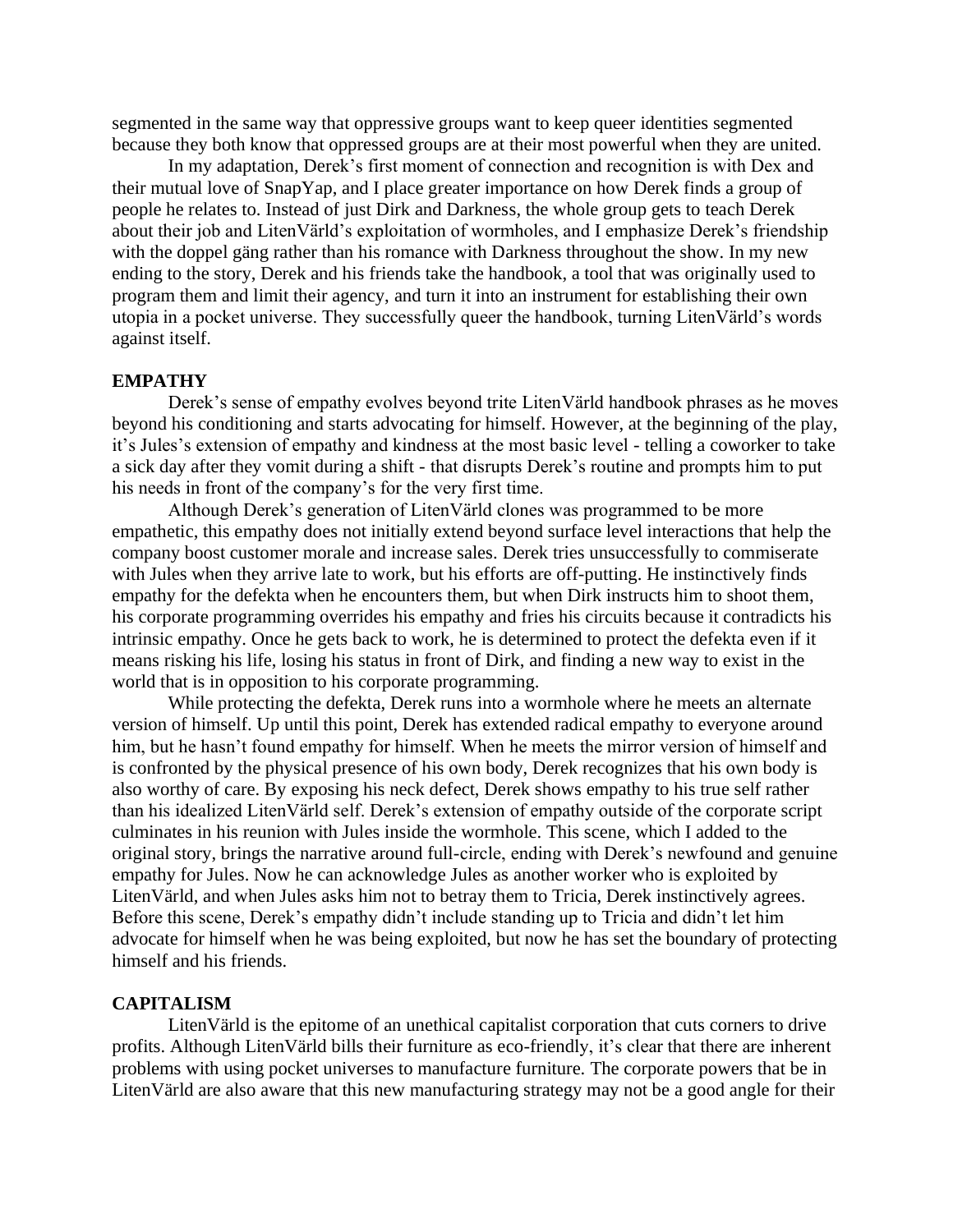segmented in the same way that oppressive groups want to keep queer identities segmented because they both know that oppressed groups are at their most powerful when they are united.

In my adaptation, Derek's first moment of connection and recognition is with Dex and their mutual love of SnapYap, and I place greater importance on how Derek finds a group of people he relates to. Instead of just Dirk and Darkness, the whole group gets to teach Derek about their job and LitenVärld's exploitation of wormholes, and I emphasize Derek's friendship with the doppel gäng rather than his romance with Darkness throughout the show. In my new ending to the story, Derek and his friends take the handbook, a tool that was originally used to program them and limit their agency, and turn it into an instrument for establishing their own utopia in a pocket universe. They successfully queer the handbook, turning LitenVärld's words against itself.

#### **EMPATHY**

Derek's sense of empathy evolves beyond trite LitenVärld handbook phrases as he moves beyond his conditioning and starts advocating for himself. However, at the beginning of the play, it's Jules's extension of empathy and kindness at the most basic level - telling a coworker to take a sick day after they vomit during a shift - that disrupts Derek's routine and prompts him to put his needs in front of the company's for the very first time.

Although Derek's generation of LitenVärld clones was programmed to be more empathetic, this empathy does not initially extend beyond surface level interactions that help the company boost customer morale and increase sales. Derek tries unsuccessfully to commiserate with Jules when they arrive late to work, but his efforts are off-putting. He instinctively finds empathy for the defekta when he encounters them, but when Dirk instructs him to shoot them, his corporate programming overrides his empathy and fries his circuits because it contradicts his intrinsic empathy. Once he gets back to work, he is determined to protect the defekta even if it means risking his life, losing his status in front of Dirk, and finding a new way to exist in the world that is in opposition to his corporate programming.

While protecting the defekta, Derek runs into a wormhole where he meets an alternate version of himself. Up until this point, Derek has extended radical empathy to everyone around him, but he hasn't found empathy for himself. When he meets the mirror version of himself and is confronted by the physical presence of his own body, Derek recognizes that his own body is also worthy of care. By exposing his neck defect, Derek shows empathy to his true self rather than his idealized LitenVärld self. Derek's extension of empathy outside of the corporate script culminates in his reunion with Jules inside the wormhole. This scene, which I added to the original story, brings the narrative around full-circle, ending with Derek's newfound and genuine empathy for Jules. Now he can acknowledge Jules as another worker who is exploited by LitenVärld, and when Jules asks him not to betray them to Tricia, Derek instinctively agrees. Before this scene, Derek's empathy didn't include standing up to Tricia and didn't let him advocate for himself when he was being exploited, but now he has set the boundary of protecting himself and his friends.

#### **CAPITALISM**

LitenVärld is the epitome of an unethical capitalist corporation that cuts corners to drive profits. Although LitenVärld bills their furniture as eco-friendly, it's clear that there are inherent problems with using pocket universes to manufacture furniture. The corporate powers that be in LitenVärld are also aware that this new manufacturing strategy may not be a good angle for their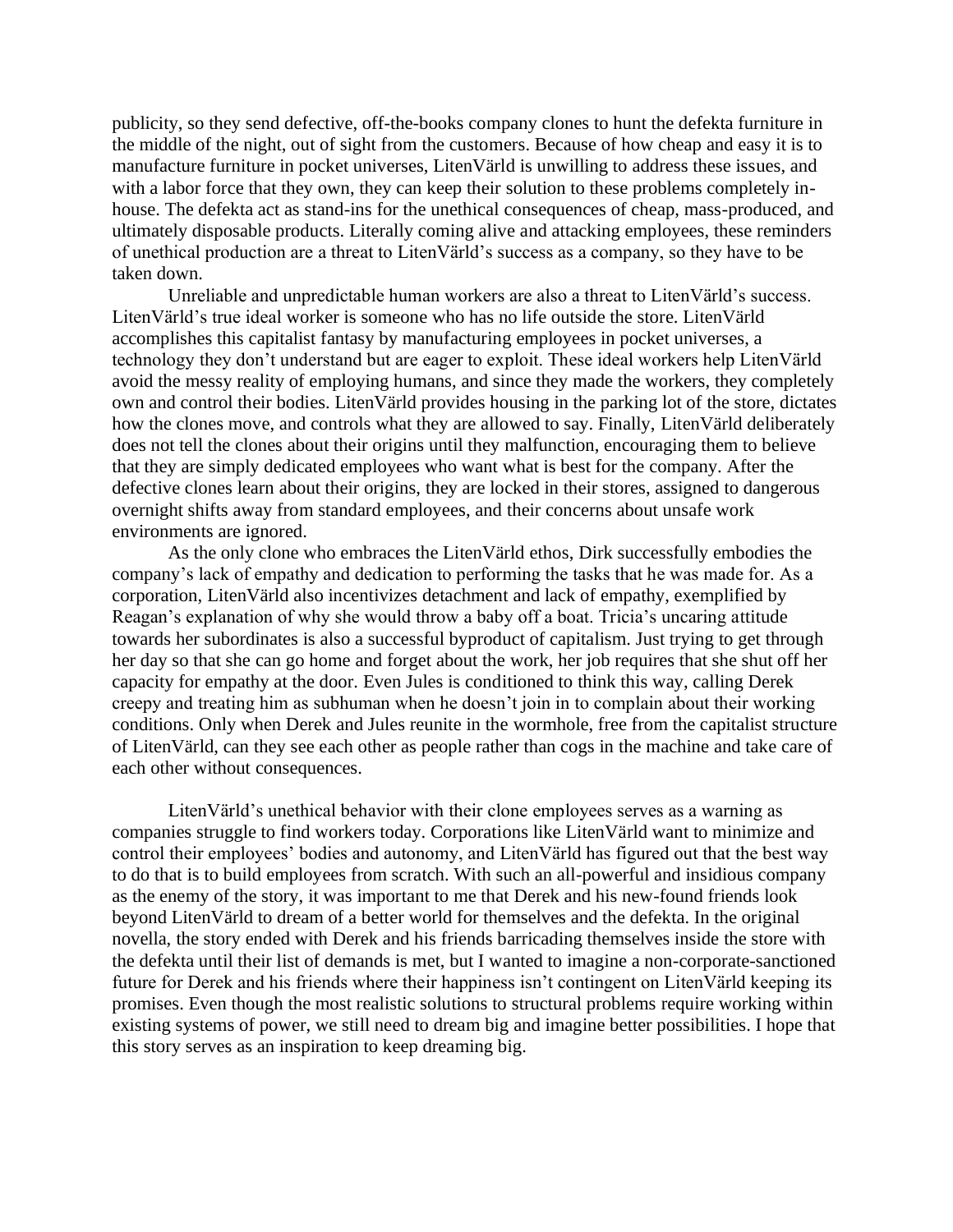publicity, so they send defective, off-the-books company clones to hunt the defekta furniture in the middle of the night, out of sight from the customers. Because of how cheap and easy it is to manufacture furniture in pocket universes, LitenVärld is unwilling to address these issues, and with a labor force that they own, they can keep their solution to these problems completely inhouse. The defekta act as stand-ins for the unethical consequences of cheap, mass-produced, and ultimately disposable products. Literally coming alive and attacking employees, these reminders of unethical production are a threat to LitenVärld's success as a company, so they have to be taken down.

Unreliable and unpredictable human workers are also a threat to LitenVärld's success. LitenVärld's true ideal worker is someone who has no life outside the store. LitenVärld accomplishes this capitalist fantasy by manufacturing employees in pocket universes, a technology they don't understand but are eager to exploit. These ideal workers help LitenVärld avoid the messy reality of employing humans, and since they made the workers, they completely own and control their bodies. LitenVärld provides housing in the parking lot of the store, dictates how the clones move, and controls what they are allowed to say. Finally, LitenVärld deliberately does not tell the clones about their origins until they malfunction, encouraging them to believe that they are simply dedicated employees who want what is best for the company. After the defective clones learn about their origins, they are locked in their stores, assigned to dangerous overnight shifts away from standard employees, and their concerns about unsafe work environments are ignored.

As the only clone who embraces the LitenVärld ethos, Dirk successfully embodies the company's lack of empathy and dedication to performing the tasks that he was made for. As a corporation, LitenVärld also incentivizes detachment and lack of empathy, exemplified by Reagan's explanation of why she would throw a baby off a boat. Tricia's uncaring attitude towards her subordinates is also a successful byproduct of capitalism. Just trying to get through her day so that she can go home and forget about the work, her job requires that she shut off her capacity for empathy at the door. Even Jules is conditioned to think this way, calling Derek creepy and treating him as subhuman when he doesn't join in to complain about their working conditions. Only when Derek and Jules reunite in the wormhole, free from the capitalist structure of LitenVärld, can they see each other as people rather than cogs in the machine and take care of each other without consequences.

LitenVärld's unethical behavior with their clone employees serves as a warning as companies struggle to find workers today. Corporations like LitenVärld want to minimize and control their employees' bodies and autonomy, and LitenVärld has figured out that the best way to do that is to build employees from scratch. With such an all-powerful and insidious company as the enemy of the story, it was important to me that Derek and his new-found friends look beyond LitenVärld to dream of a better world for themselves and the defekta. In the original novella, the story ended with Derek and his friends barricading themselves inside the store with the defekta until their list of demands is met, but I wanted to imagine a non-corporate-sanctioned future for Derek and his friends where their happiness isn't contingent on LitenVärld keeping its promises. Even though the most realistic solutions to structural problems require working within existing systems of power, we still need to dream big and imagine better possibilities. I hope that this story serves as an inspiration to keep dreaming big.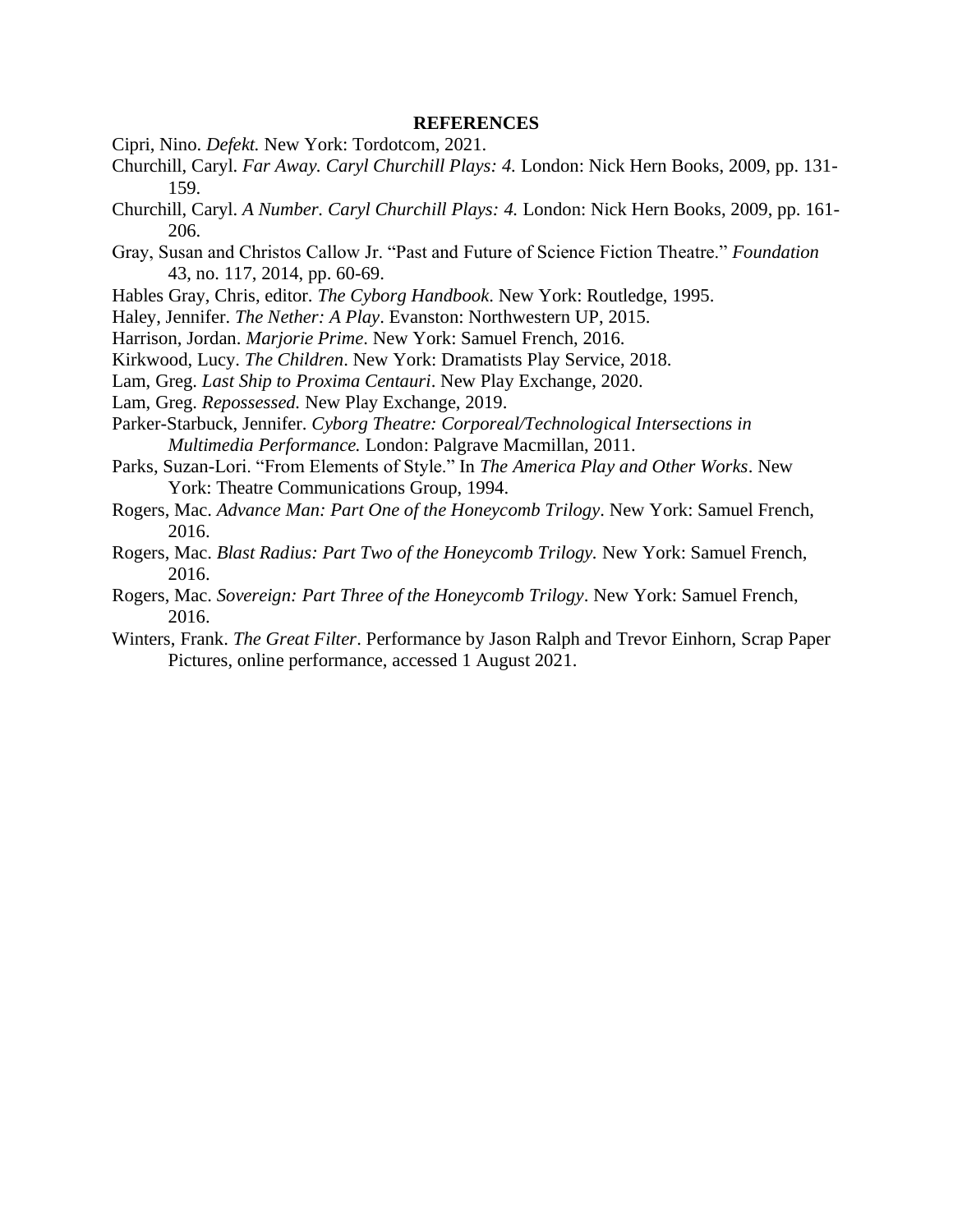#### **REFERENCES**

- Cipri, Nino. *Defekt.* New York: Tordotcom, 2021.
- Churchill, Caryl. *Far Away. Caryl Churchill Plays: 4.* London: Nick Hern Books, 2009, pp. 131- 159.
- Churchill, Caryl. *A Number. Caryl Churchill Plays: 4.* London: Nick Hern Books, 2009, pp. 161- 206.
- Gray, Susan and Christos Callow Jr. "Past and Future of Science Fiction Theatre." *Foundation* 43, no. 117, 2014, pp. 60-69.
- Hables Gray, Chris, editor. *The Cyborg Handbook*. New York: Routledge, 1995.
- Haley, Jennifer. *The Nether: A Play*. Evanston: Northwestern UP, 2015.
- Harrison, Jordan. *Marjorie Prime*. New York: Samuel French, 2016.
- Kirkwood, Lucy. *The Children*. New York: Dramatists Play Service, 2018.
- Lam, Greg. *Last Ship to Proxima Centauri*. New Play Exchange, 2020.
- Lam, Greg. *Repossessed.* New Play Exchange, 2019.
- Parker-Starbuck, Jennifer. *Cyborg Theatre: Corporeal/Technological Intersections in Multimedia Performance.* London: Palgrave Macmillan, 2011.
- Parks, Suzan-Lori. "From Elements of Style." In *The America Play and Other Works*. New York: Theatre Communications Group, 1994.
- Rogers, Mac. *Advance Man: Part One of the Honeycomb Trilogy*. New York: Samuel French, 2016.
- Rogers, Mac. *Blast Radius: Part Two of the Honeycomb Trilogy.* New York: Samuel French, 2016.
- Rogers, Mac. *Sovereign: Part Three of the Honeycomb Trilogy*. New York: Samuel French, 2016.
- Winters, Frank. *The Great Filter*. Performance by Jason Ralph and Trevor Einhorn, Scrap Paper Pictures, online performance, accessed 1 August 2021.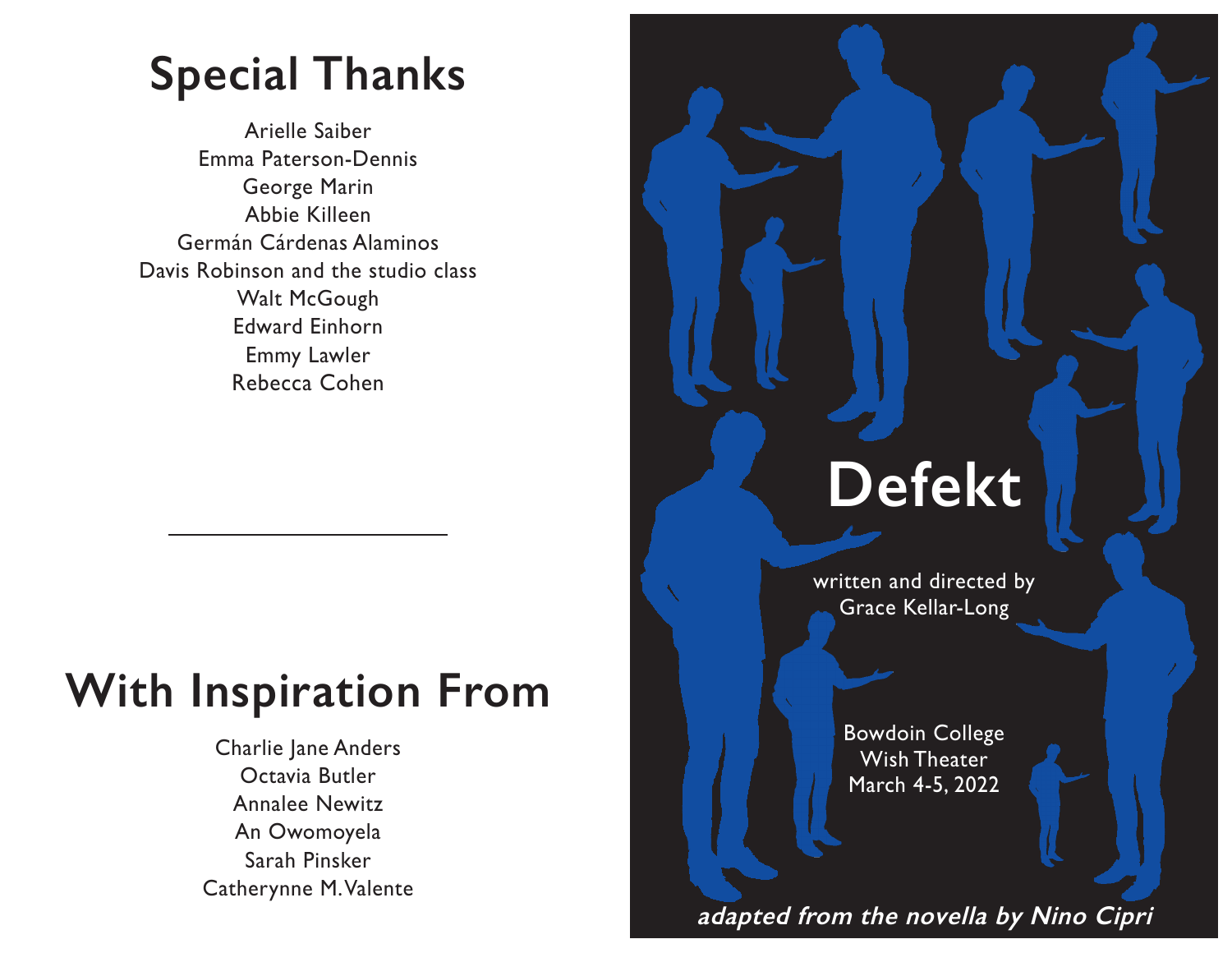## **Special Thanks**

Arielle Saiber Emma Paterson-Dennis George Marin Abbie Killeen Germán Cárdenas Alaminos Davis Robinson and the studio class Walt McGough Edward Einhorn Emmy Lawler Rebecca Cohen

## **With Inspiration From**

Charlie Jane Anders Octavia Butler Annalee Newitz An Owomoyela Sarah Pinsker Catherynne M. Valente

# **Defekt**

written and directed by Grace Kellar-Long

> Bowdoin College Wish Theater March 4-5, 2022

**adapted from the novella by Nino Cipri**